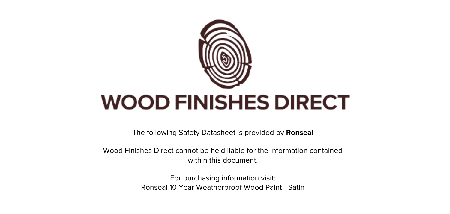

The following Safety Datasheet is provided by **Ronseal**

Wood Finishes Direct cannot be held liable for the information contained within this document.

> For purchasing information visit: [Ronseal 10 Year Weatherproof Wood Paint - Satin](https://www.wood-finishes-direct.com/product/ronseal-10-year-weatherproof-wood-paint-satin)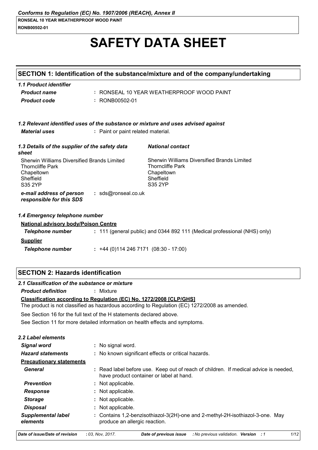# **SAFETY DATA SHEET**

|                                                                                                                     |                                     | SECTION 1: Identification of the substance/mixture and of the company/undertaking                            |
|---------------------------------------------------------------------------------------------------------------------|-------------------------------------|--------------------------------------------------------------------------------------------------------------|
| 1.1 Product identifier<br><b>Product name</b><br><b>Product code</b>                                                | : RONB00502-01                      | : RONSEAL 10 YEAR WEATHERPROOF WOOD PAINT                                                                    |
| <b>Material uses</b>                                                                                                | : Paint or paint related material.  | 1.2 Relevant identified uses of the substance or mixture and uses advised against                            |
| 1.3 Details of the supplier of the safety data<br>sheet                                                             |                                     | <b>National contact</b>                                                                                      |
| Sherwin Williams Diversified Brands Limited<br><b>Thorncliffe Park</b><br>Chapeltown<br>Sheffield<br><b>S35 2YP</b> |                                     | Sherwin Williams Diversified Brands Limited<br><b>Thorncliffe Park</b><br>Chapeltown<br>Sheffield<br>S35 2YP |
| e-mail address of person<br>responsible for this SDS                                                                | : sds@ronseal.co.uk                 |                                                                                                              |
| 1.4 Emergency telephone number<br><b>National advisory body/Poison Centre</b>                                       |                                     |                                                                                                              |
| Telephone number                                                                                                    |                                     | : 111 (general public) and 0344 892 111 (Medical professional (NHS) only)                                    |
| <b>Supplier</b>                                                                                                     |                                     |                                                                                                              |
| <b>Telephone number</b>                                                                                             | $: +44(0)1142467171(08:30 - 17:00)$ |                                                                                                              |
|                                                                                                                     |                                     |                                                                                                              |

# **SECTION 2: Hazards identification**

# 2.1 Classification of the substance or mixture

**Product definition** : Mixture

#### Classification according to Regulation (EC) No. 1272/2008 [CLP/GHS]

The product is not classified as hazardous according to Regulation (EC) 1272/2008 as amended.

See Section 16 for the full text of the H statements declared above.

See Section 11 for more detailed information on health effects and symptoms.

| 2.2 Label elements                    |                                                                                                                                  |
|---------------------------------------|----------------------------------------------------------------------------------------------------------------------------------|
| Signal word                           | : No signal word.                                                                                                                |
| <b>Hazard statements</b>              | : No known significant effects or critical hazards.                                                                              |
| <b>Precautionary statements</b>       |                                                                                                                                  |
| General                               | : Read label before use. Keep out of reach of children. If medical advice is needed,<br>have product container or label at hand. |
| <b>Prevention</b>                     | : Not applicable.                                                                                                                |
| <b>Response</b>                       | : Not applicable.                                                                                                                |
| <b>Storage</b>                        | : Not applicable.                                                                                                                |
| <b>Disposal</b>                       | : Not applicable.                                                                                                                |
| <b>Supplemental label</b><br>elements | : Contains 1,2-benzisothiazol-3(2H)-one and 2-methyl-2H-isothiazol-3-one. May<br>produce an allergic reaction.                   |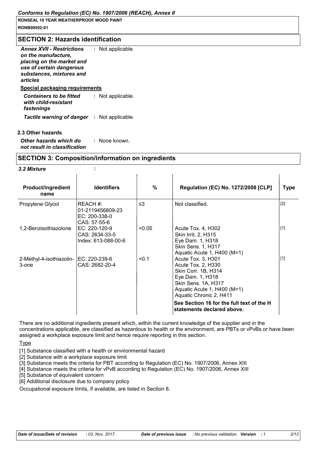#### **SECTION 2: Hazards identification**

| <b>Annex XVII - Restrictions</b><br>on the manufacture,<br>placing on the market and<br>use of certain dangerous<br>substances, mixtures and<br>articles | : Not applicable. |
|----------------------------------------------------------------------------------------------------------------------------------------------------------|-------------------|
| <b>Special packaging requirements</b>                                                                                                                    |                   |
| <b>Containers to be fitted</b><br>with child-resistant<br>fastenings                                                                                     | : Not applicable. |
| <b>Tactile warning of danger : Not applicable.</b>                                                                                                       |                   |

#### 2.3 Other hazards

Other hazards which do : None known. not result in classification

# **SECTION 3: Composition/information on ingredients**  $\mathbf{r}$

#### 3.2 Mixture

| <b>Product/ingredient</b><br>name | <b>Identifiers</b>                                              | $\%$     | <b>Regulation (EC) No. 1272/2008 [CLP]</b>                                                                                                                                                                                                      | <b>Type</b> |
|-----------------------------------|-----------------------------------------------------------------|----------|-------------------------------------------------------------------------------------------------------------------------------------------------------------------------------------------------------------------------------------------------|-------------|
| Propylene Glycol                  | REACH #:<br>01-2119456809-23<br>$EC: 200-338-0$<br>CAS: 57-55-6 | $\leq$ 3 | Not classified.                                                                                                                                                                                                                                 | $[2]$       |
| 1,2-Benzisothiazolone             | EC: 220-120-9<br>CAS: 2634-33-5<br>Index: 613-088-00-6          | < 0.05   | Acute Tox. 4, H302<br><b>Skin Irrit. 2, H315</b><br>Eye Dam. 1, H318<br><b>Skin Sens. 1, H317</b><br>Aquatic Acute 1, H400 (M=1)                                                                                                                | $[1]$       |
| 2-Methyl-4-isothiazolin-<br>3-one | IEC: 220-239-6<br>CAS: 2682-20-4                                | < 0.1    | Acute Tox. 3, H301<br>Acute Tox. 2, H330<br>Skin Corr. 1B, H314<br>Eye Dam. 1, H318<br>Skin Sens. 1A, H317<br>Aquatic Acute 1, H400 (M=1)<br>Aquatic Chronic 2, H411<br>See Section 16 for the full text of the H<br>statements declared above. | $[1]$       |

There are no additional ingredients present which, within the current knowledge of the supplier and in the concentrations applicable, are classified as hazardous to health or the environment, are PBTs or vPvBs or have been assigned a workplace exposure limit and hence require reporting in this section.

Type

[1] Substance classified with a health or environmental hazard

[2] Substance with a workplace exposure limit

[3] Substance meets the criteria for PBT according to Regulation (EC) No. 1907/2006, Annex XIII

[4] Substance meets the criteria for vPvB according to Regulation (EC) No. 1907/2006, Annex XIII

[5] Substance of equivalent concern

[6] Additional disclosure due to company policy

Occupational exposure limits, if available, are listed in Section 8.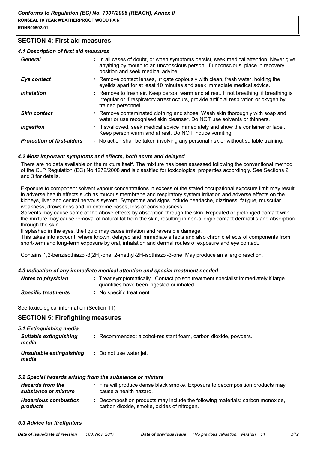#### **SECTION 4: First aid measures**

#### 4.1 Description of first aid measures

| General                           | : In all cases of doubt, or when symptoms persist, seek medical attention. Never give<br>anything by mouth to an unconscious person. If unconscious, place in recovery<br>position and seek medical advice. |
|-----------------------------------|-------------------------------------------------------------------------------------------------------------------------------------------------------------------------------------------------------------|
| Eye contact                       | : Remove contact lenses, irrigate copiously with clean, fresh water, holding the<br>eyelids apart for at least 10 minutes and seek immediate medical advice.                                                |
| <i><b>Inhalation</b></i>          | : Remove to fresh air. Keep person warm and at rest. If not breathing, if breathing is<br>irregular or if respiratory arrest occurs, provide artificial respiration or oxygen by<br>trained personnel.      |
| <b>Skin contact</b>               | : Remove contaminated clothing and shoes. Wash skin thoroughly with soap and<br>water or use recognised skin cleanser. Do NOT use solvents or thinners.                                                     |
| Ingestion                         | : If swallowed, seek medical advice immediately and show the container or label.<br>Keep person warm and at rest. Do NOT induce vomiting.                                                                   |
| <b>Protection of first-aiders</b> | : No action shall be taken involving any personal risk or without suitable training.                                                                                                                        |

#### 4.2 Most important symptoms and effects, both acute and delayed

There are no data available on the mixture itself. The mixture has been assessed following the conventional method of the CLP Regulation (EC) No 1272/2008 and is classified for toxicological properties accordingly. See Sections 2 and 3 for details.

Exposure to component solvent vapour concentrations in excess of the stated occupational exposure limit may result in adverse health effects such as mucous membrane and respiratory system irritation and adverse effects on the kidneys, liver and central nervous system. Symptoms and signs include headache, dizziness, fatigue, muscular weakness, drowsiness and, in extreme cases, loss of consciousness.

Solvents may cause some of the above effects by absorption through the skin. Repeated or prolonged contact with the mixture may cause removal of natural fat from the skin, resulting in non-allergic contact dermatitis and absorption through the skin.

If splashed in the eyes, the liquid may cause irritation and reversible damage.

This takes into account, where known, delayed and immediate effects and also chronic effects of components from short-term and long-term exposure by oral, inhalation and dermal routes of exposure and eve contact.

Contains 1,2-benzisothiazol-3(2H)-one, 2-methyl-2H-isothiazol-3-one. May produce an allergic reaction.

#### 4.3 Indication of any immediate medical attention and special treatment needed

| Notes to physician  | : Treat symptomatically. Contact poison treatment specialist immediately if large<br>quantities have been ingested or inhaled. |
|---------------------|--------------------------------------------------------------------------------------------------------------------------------|
| Canallia trantmanta | Na annaifin trantmant                                                                                                          |

**Specific treatments** : No specific treatment.

See toxicological information (Section 11)

| <b>SECTION 5: Firefighting measures</b> |                                                                 |  |
|-----------------------------------------|-----------------------------------------------------------------|--|
| 5.1 Extinguishing media                 |                                                                 |  |
| <b>Suitable extinguishing</b><br>media  | : Recommended: alcohol-resistant foam, carbon dioxide, powders. |  |
| Unsuitable extinguishing<br>media       | : Do not use water jet.                                         |  |

#### 5.2 Special hazards arising from the substance or mixture

| <b>Hazards from the</b><br>substance or mixture | : Fire will produce dense black smoke. Exposure to decomposition products may<br>cause a health hazard.                    |
|-------------------------------------------------|----------------------------------------------------------------------------------------------------------------------------|
| <b>Hazardous combustion</b><br>products         | Decomposition products may include the following materials: carbon monoxide,<br>carbon dioxide, smoke, oxides of nitrogen. |

#### 5.3 Advice for firefighters

| <b>Date of issue/Date of revision : 03. Nov. 2017.</b> |  | <b>Date of previous issue</b> : No previous validation. Version : 1 |  |  |  |  |
|--------------------------------------------------------|--|---------------------------------------------------------------------|--|--|--|--|
|--------------------------------------------------------|--|---------------------------------------------------------------------|--|--|--|--|

 $3/12$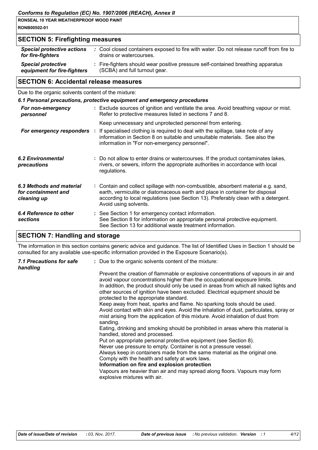| RONSEAL 10 YEAR WEATHERPROOF WOOD PAINT |  |
|-----------------------------------------|--|
| RONB00502-01                            |  |

| <b>SECTION 5: Firefighting measures</b>                  |  |                                                                                                                    |
|----------------------------------------------------------|--|--------------------------------------------------------------------------------------------------------------------|
| <b>Special protective actions</b><br>for fire-fighters   |  | : Cool closed containers exposed to fire with water. Do not release runoff from fire to<br>drains or watercourses. |
| <b>Special protective</b><br>equipment for fire-fighters |  | : Fire-fighters should wear positive pressure self-contained breathing apparatus<br>(SCBA) and full turnout gear.  |
|                                                          |  |                                                                                                                    |

# **SECTION 6: Accidental release measures**

Due to the organic solvents content of the mixture:

| 6.1 Personal precautions, protective equipment and emergency procedures |  |                                                                                                                                                                                                                                                                                    |  |
|-------------------------------------------------------------------------|--|------------------------------------------------------------------------------------------------------------------------------------------------------------------------------------------------------------------------------------------------------------------------------------|--|
| For non-emergency<br>personnel                                          |  | : Exclude sources of ignition and ventilate the area. Avoid breathing vapour or mist.<br>Refer to protective measures listed in sections 7 and 8.                                                                                                                                  |  |
|                                                                         |  | Keep unnecessary and unprotected personnel from entering.                                                                                                                                                                                                                          |  |
|                                                                         |  | <b>For emergency responders</b> : If specialised clothing is required to deal with the spillage, take note of any<br>information in Section 8 on suitable and unsuitable materials. See also the<br>information in "For non-emergency personnel".                                  |  |
| 6.2 Environmental<br>precautions                                        |  | : Do not allow to enter drains or watercourses. If the product contaminates lakes,<br>rivers, or sewers, inform the appropriate authorities in accordance with local<br>regulations.                                                                                               |  |
| 6.3 Methods and material<br>for containment and<br>cleaning up          |  | : Contain and collect spillage with non-combustible, absorbent material e.g. sand,<br>earth, vermiculite or diatomaceous earth and place in container for disposal<br>according to local regulations (see Section 13). Preferably clean with a detergent.<br>Avoid using solvents. |  |
| 6.4 Reference to other<br>sections                                      |  | : See Section 1 for emergency contact information.<br>See Section 8 for information on appropriate personal protective equipment.<br>See Section 13 for additional waste treatment information.                                                                                    |  |

# **SECTION 7: Handling and storage**

The information in this section contains generic advice and guidance. The list of Identified Uses in Section 1 should be consulted for any available use-specific information provided in the Exposure Scenario(s).

| 7.1 Precautions for safe<br>handling | : Due to the organic solvents content of the mixture:                                                                                                                                                                                                                                                                                                                               |
|--------------------------------------|-------------------------------------------------------------------------------------------------------------------------------------------------------------------------------------------------------------------------------------------------------------------------------------------------------------------------------------------------------------------------------------|
|                                      | Prevent the creation of flammable or explosive concentrations of vapours in air and<br>avoid vapour concentrations higher than the occupational exposure limits.<br>In addition, the product should only be used in areas from which all naked lights and<br>other sources of ignition have been excluded. Electrical equipment should be<br>protected to the appropriate standard. |
|                                      | Keep away from heat, sparks and flame. No sparking tools should be used.<br>Avoid contact with skin and eyes. Avoid the inhalation of dust, particulates, spray or<br>mist arising from the application of this mixture. Avoid inhalation of dust from<br>sanding.                                                                                                                  |
|                                      | Eating, drinking and smoking should be prohibited in areas where this material is<br>handled, stored and processed.                                                                                                                                                                                                                                                                 |
|                                      | Put on appropriate personal protective equipment (see Section 8).                                                                                                                                                                                                                                                                                                                   |
|                                      | Never use pressure to empty. Container is not a pressure vessel.                                                                                                                                                                                                                                                                                                                    |
|                                      | Always keep in containers made from the same material as the original one.                                                                                                                                                                                                                                                                                                          |
|                                      | Comply with the health and safety at work laws.                                                                                                                                                                                                                                                                                                                                     |
|                                      | Information on fire and explosion protection                                                                                                                                                                                                                                                                                                                                        |
|                                      | Vapours are heavier than air and may spread along floors. Vapours may form<br>explosive mixtures with air.                                                                                                                                                                                                                                                                          |
|                                      |                                                                                                                                                                                                                                                                                                                                                                                     |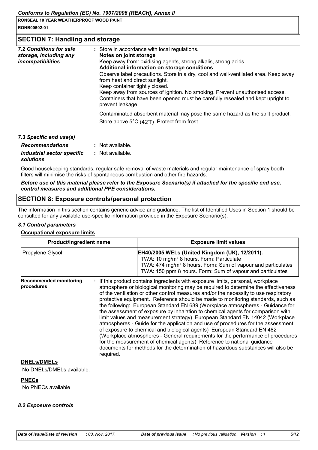Conforms to Regulation (EC) No. 1907/2006 (REACH), Annex II

RONSEAL 10 YEAR WEATHERPROOF WOOD PAINT RONB00502-01

#### **SECTION 7: Handling and storage**

| 7.2 Conditions for safe<br>storage, including any<br>incompatibilities | : Store in accordance with local regulations.<br>Notes on joint storage<br>Keep away from: oxidising agents, strong alkalis, strong acids.<br>Additional information on storage conditions<br>Observe label precautions. Store in a dry, cool and well-ventilated area. Keep away<br>from heat and direct sunlight.<br>Keep container tightly closed.<br>Keep away from sources of ignition. No smoking. Prevent unauthorised access.<br>Containers that have been opened must be carefully resealed and kept upright to<br>prevent leakage. |
|------------------------------------------------------------------------|----------------------------------------------------------------------------------------------------------------------------------------------------------------------------------------------------------------------------------------------------------------------------------------------------------------------------------------------------------------------------------------------------------------------------------------------------------------------------------------------------------------------------------------------|
|                                                                        | Contaminated absorbent material may pose the same hazard as the spilt product.<br>Store above 5°C (42°F) Protect from frost.                                                                                                                                                                                                                                                                                                                                                                                                                 |
| 7.3 Specific end use(s)                                                |                                                                                                                                                                                                                                                                                                                                                                                                                                                                                                                                              |
| <b>Recommendations</b>                                                 | Not available                                                                                                                                                                                                                                                                                                                                                                                                                                                                                                                                |

| <b>Recommendations</b>     | : Not available. |
|----------------------------|------------------|
| Industrial sector specific | : Not available. |
| solutions                  |                  |

Good housekeeping standards, regular safe removal of waste materials and regular maintenance of spray booth filters will minimise the risks of spontaneous combustion and other fire hazards.

#### Before use of this material please refer to the Exposure Scenario(s) if attached for the specific end use, control measures and additional PPE considerations.

#### **SECTION 8: Exposure controls/personal protection**

The information in this section contains generic advice and quidance. The list of Identified Uses in Section 1 should be consulted for any available use-specific information provided in the Exposure Scenario(s).

#### 8.1 Control parameters

#### **Occupational exposure limits**

| <b>Product/ingredient name</b>              |           | <b>Exposure limit values</b>                                                                                                                                                                                                                                                                                                                                                                                                                                                                                                                                                                                                                                                                                                                                                                                                                                                                                                                                                                                          |
|---------------------------------------------|-----------|-----------------------------------------------------------------------------------------------------------------------------------------------------------------------------------------------------------------------------------------------------------------------------------------------------------------------------------------------------------------------------------------------------------------------------------------------------------------------------------------------------------------------------------------------------------------------------------------------------------------------------------------------------------------------------------------------------------------------------------------------------------------------------------------------------------------------------------------------------------------------------------------------------------------------------------------------------------------------------------------------------------------------|
| Propylene Glycol                            |           | EH40/2005 WELs (United Kingdom (UK), 12/2011).<br>TWA: 10 mg/m <sup>3</sup> 8 hours. Form: Particulate<br>TWA: 474 mg/m <sup>3</sup> 8 hours. Form: Sum of vapour and particulates<br>TWA: 150 ppm 8 hours. Form: Sum of vapour and particulates                                                                                                                                                                                                                                                                                                                                                                                                                                                                                                                                                                                                                                                                                                                                                                      |
| <b>Recommended monitoring</b><br>procedures | required. | : If this product contains ingredients with exposure limits, personal, workplace<br>atmosphere or biological monitoring may be required to determine the effectiveness<br>of the ventilation or other control measures and/or the necessity to use respiratory<br>protective equipment. Reference should be made to monitoring standards, such as<br>the following: European Standard EN 689 (Workplace atmospheres - Guidance for<br>the assessment of exposure by inhalation to chemical agents for comparison with<br>limit values and measurement strategy) European Standard EN 14042 (Workplace<br>atmospheres - Guide for the application and use of procedures for the assessment<br>of exposure to chemical and biological agents) European Standard EN 482<br>(Workplace atmospheres - General requirements for the performance of procedures<br>for the measurement of chemical agents) Reference to national guidance<br>documents for methods for the determination of hazardous substances will also be |

#### **DNELs/DMELs**

No DNELs/DMELs available.

#### **PNECs**

No PNECs available

#### 8.2 Exposure controls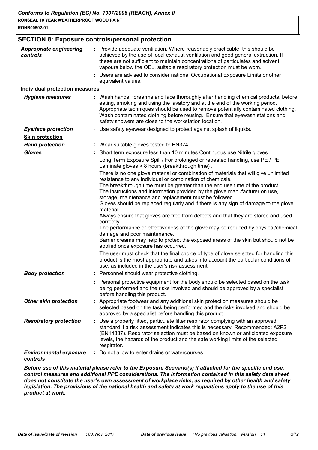|                                            | <b>SECTION 8: Exposure controls/personal protection</b>                                                                                                                                                                                                                                                                                                                                                                                                                                                                                                                                                                                                                                              |
|--------------------------------------------|------------------------------------------------------------------------------------------------------------------------------------------------------------------------------------------------------------------------------------------------------------------------------------------------------------------------------------------------------------------------------------------------------------------------------------------------------------------------------------------------------------------------------------------------------------------------------------------------------------------------------------------------------------------------------------------------------|
| <b>Appropriate engineering</b><br>controls | : Provide adequate ventilation. Where reasonably practicable, this should be<br>achieved by the use of local exhaust ventilation and good general extraction. If<br>these are not sufficient to maintain concentrations of particulates and solvent<br>vapours below the OEL, suitable respiratory protection must be worn.                                                                                                                                                                                                                                                                                                                                                                          |
|                                            | : Users are advised to consider national Occupational Exposure Limits or other<br>equivalent values.                                                                                                                                                                                                                                                                                                                                                                                                                                                                                                                                                                                                 |
| <b>Individual protection measures</b>      |                                                                                                                                                                                                                                                                                                                                                                                                                                                                                                                                                                                                                                                                                                      |
| <b>Hygiene measures</b>                    | : Wash hands, forearms and face thoroughly after handling chemical products, before<br>eating, smoking and using the lavatory and at the end of the working period.<br>Appropriate techniques should be used to remove potentially contaminated clothing.<br>Wash contaminated clothing before reusing. Ensure that eyewash stations and<br>safety showers are close to the workstation location.                                                                                                                                                                                                                                                                                                    |
| <b>Eye/face protection</b>                 | : Use safety eyewear designed to protect against splash of liquids.                                                                                                                                                                                                                                                                                                                                                                                                                                                                                                                                                                                                                                  |
| <b>Skin protection</b>                     |                                                                                                                                                                                                                                                                                                                                                                                                                                                                                                                                                                                                                                                                                                      |
| <b>Hand protection</b>                     | : Wear suitable gloves tested to EN374.                                                                                                                                                                                                                                                                                                                                                                                                                                                                                                                                                                                                                                                              |
| <b>Gloves</b>                              | : Short term exposure less than 10 minutes Continuous use Nitrile gloves.                                                                                                                                                                                                                                                                                                                                                                                                                                                                                                                                                                                                                            |
|                                            | Long Term Exposure Spill / For prolonged or repeated handling, use PE / PE<br>Laminate gloves > 8 hours (breakthrough time).                                                                                                                                                                                                                                                                                                                                                                                                                                                                                                                                                                         |
|                                            | There is no one glove material or combination of materials that will give unlimited<br>resistance to any individual or combination of chemicals.<br>The breakthrough time must be greater than the end use time of the product.<br>The instructions and information provided by the glove manufacturer on use,<br>storage, maintenance and replacement must be followed.<br>Gloves should be replaced regularly and if there is any sign of damage to the glove<br>material.<br>Always ensure that gloves are free from defects and that they are stored and used<br>correctly.<br>The performance or effectiveness of the glove may be reduced by physical/chemical<br>damage and poor maintenance. |
|                                            | Barrier creams may help to protect the exposed areas of the skin but should not be<br>applied once exposure has occurred.                                                                                                                                                                                                                                                                                                                                                                                                                                                                                                                                                                            |
|                                            | The user must check that the final choice of type of glove selected for handling this<br>product is the most appropriate and takes into account the particular conditions of<br>use, as included in the user's risk assessment.                                                                                                                                                                                                                                                                                                                                                                                                                                                                      |
| <b>Body protection</b>                     | Personnel should wear protective clothing.                                                                                                                                                                                                                                                                                                                                                                                                                                                                                                                                                                                                                                                           |
|                                            | : Personal protective equipment for the body should be selected based on the task<br>being performed and the risks involved and should be approved by a specialist<br>before handling this product.                                                                                                                                                                                                                                                                                                                                                                                                                                                                                                  |
| <b>Other skin protection</b>               | : Appropriate footwear and any additional skin protection measures should be<br>selected based on the task being performed and the risks involved and should be<br>approved by a specialist before handling this product.                                                                                                                                                                                                                                                                                                                                                                                                                                                                            |
| <b>Respiratory protection</b>              | : Use a properly fitted, particulate filter respirator complying with an approved<br>standard if a risk assessment indicates this is necessary. Recommended: A2P2<br>(EN14387). Respirator selection must be based on known or anticipated exposure<br>levels, the hazards of the product and the safe working limits of the selected<br>respirator.                                                                                                                                                                                                                                                                                                                                                 |
| <b>Environmental exposure</b><br>controls  | Do not allow to enter drains or watercourses.                                                                                                                                                                                                                                                                                                                                                                                                                                                                                                                                                                                                                                                        |

Before use of this material please refer to the Exposure Scenario(s) if attached for the specific end use, control measures and additional PPE considerations. The information contained in this safety data sheet does not constitute the user's own assessment of workplace risks, as required by other health and safety legislation. The provisions of the national health and safety at work regulations apply to the use of this product at work.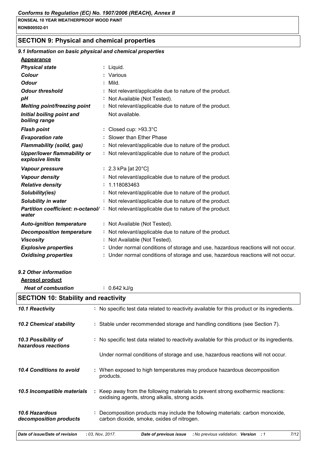# **SECTION 9: Physical and chemical properties**

# 9.1 Information on basic physical and chemical properties

| .          |  |
|------------|--|
|            |  |
| Appearance |  |
|            |  |

| <u>Appearance</u>                                      |                                                                                                                                   |
|--------------------------------------------------------|-----------------------------------------------------------------------------------------------------------------------------------|
| <b>Physical state</b>                                  | : Liquid.                                                                                                                         |
| Colour                                                 | : Various                                                                                                                         |
| <b>Odour</b>                                           | Mild.                                                                                                                             |
| <b>Odour threshold</b>                                 | Not relevant/applicable due to nature of the product.                                                                             |
| pH                                                     | Not Available (Not Tested).                                                                                                       |
| Melting point/freezing point                           | Not relevant/applicable due to nature of the product.                                                                             |
| Initial boiling point and<br>boiling range             | Not available.                                                                                                                    |
| <b>Flash point</b>                                     | : Closed cup: $>93.3^{\circ}$ C                                                                                                   |
| <b>Evaporation rate</b>                                | Slower than Ether Phase                                                                                                           |
| <b>Flammability (solid, gas)</b>                       | : Not relevant/applicable due to nature of the product.                                                                           |
| <b>Upper/lower flammability or</b><br>explosive limits | : Not relevant/applicable due to nature of the product.                                                                           |
| Vapour pressure                                        | : 2.3 kPa [at $20^{\circ}$ C]                                                                                                     |
| <b>Vapour density</b>                                  | : Not relevant/applicable due to nature of the product.                                                                           |
| <b>Relative density</b>                                | : 1.118083463                                                                                                                     |
| Solubility(ies)                                        | Not relevant/applicable due to nature of the product.                                                                             |
| Solubility in water                                    | : Not relevant/applicable due to nature of the product.                                                                           |
| <b>Partition coefficient: n-octanol/:</b><br>water     | Not relevant/applicable due to nature of the product.                                                                             |
| <b>Auto-ignition temperature</b>                       | : Not Available (Not Tested).                                                                                                     |
| <b>Decomposition temperature</b>                       | : Not relevant/applicable due to nature of the product.                                                                           |
| <b>Viscosity</b>                                       | Not Available (Not Tested).                                                                                                       |
| <b>Explosive properties</b>                            | Under normal conditions of storage and use, hazardous reactions will not occur                                                    |
| <b>Oxidising properties</b>                            | : Under normal conditions of storage and use, hazardous reactions will not occur                                                  |
| 9.2 Other information                                  |                                                                                                                                   |
| <b>Aerosol product</b>                                 |                                                                                                                                   |
| <b>Heat of combustion</b>                              | : $0.642$ kJ/g                                                                                                                    |
| <b>SECTION 10: Stability and reactivity</b>            |                                                                                                                                   |
| 10.1 Reactivity                                        | : No specific test data related to reactivity available for this product or its ingredients.                                      |
| 10.2 Chemical stability                                | : Stable under recommended storage and handling conditions (see Section 7).                                                       |
| 10.3 Possibility of<br>hazardous reactions             | No specific test data related to reactivity available for this product or its ingredients.                                        |
|                                                        | Under normal conditions of storage and use, hazardous reactions will not occur.                                                   |
| 10.4 Conditions to avoid                               | : When exposed to high temperatures may produce hazardous decomposition<br>products.                                              |
| 10.5 Incompatible materials                            | Keep away from the following materials to prevent strong exothermic reactions:<br>oxidising agents, strong alkalis, strong acids. |
| 10.6 Hazardous<br>decomposition products               | Decomposition products may include the following materials: carbon monoxide,<br>carbon dioxide, smoke, oxides of nitrogen.        |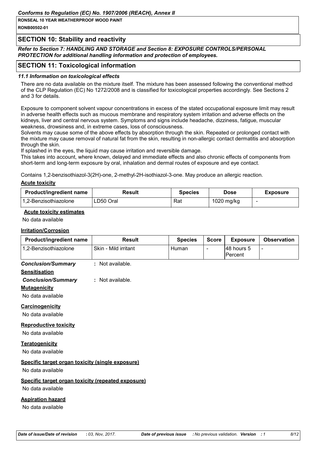## **SECTION 10: Stability and reactivity**

Refer to Section 7: HANDLING AND STORAGE and Section 8: EXPOSURE CONTROLS/PERSONAL PROTECTION for additional handling information and protection of employees.

# **SECTION 11: Toxicological information**

#### 11.1 Information on toxicological effects

There are no data available on the mixture itself. The mixture has been assessed following the conventional method of the CLP Regulation (EC) No 1272/2008 and is classified for toxicological properties accordingly. See Sections 2 and 3 for details.

Exposure to component solvent vapour concentrations in excess of the stated occupational exposure limit may result in adverse health effects such as mucous membrane and respiratory system irritation and adverse effects on the kidneys, liver and central nervous system. Symptoms and signs include headache, dizziness, fatique, muscular weakness, drowsiness and, in extreme cases, loss of consciousness.

Solvents may cause some of the above effects by absorption through the skin. Repeated or prolonged contact with the mixture may cause removal of natural fat from the skin, resulting in non-allergic contact dermatitis and absorption through the skin.

If splashed in the eyes, the liquid may cause irritation and reversible damage.

This takes into account, where known, delayed and immediate effects and also chronic effects of components from short-term and long-term exposure by oral, inhalation and dermal routes of exposure and eve contact.

Contains 1,2-benzisothiazol-3(2H)-one, 2-methyl-2H-isothiazol-3-one. May produce an allergic reaction.

#### **Acute toxicity**

| <b>Product/ingredient name</b> | Result    | <b>Species</b> | Dose       | <b>Exposure</b> |
|--------------------------------|-----------|----------------|------------|-----------------|
| l 1.2-Benzisothiazolone        | LD50 Oral | Rat            | 1020 mg/kg |                 |

#### **Acute toxicity estimates**

No data available

#### **Irritation/Corrosion**

| <b>Product/ingredient name</b> | <b>Result</b>        | <b>Species</b> | <b>Score</b> | <b>Exposure</b>        | <b>Observation</b> |
|--------------------------------|----------------------|----------------|--------------|------------------------|--------------------|
| 1,2-Benzisothiazolone          | Skin - Mild irritant | Human          | -            | 148 hours 5<br>Percent | -                  |
| <b>Conclusion/Summary</b>      | : Not available.     |                |              |                        |                    |
| <b>Sensitisation</b>           |                      |                |              |                        |                    |
| <b>Conclusion/Summary</b>      | Not available.       |                |              |                        |                    |

#### **Mutagenicity**

No data available

#### Carcinogenicity

No data available

#### **Reproductive toxicity**

No data available

#### **Teratogenicity**

No data available

#### Specific target organ toxicity (single exposure)

No data available

#### Specific target organ toxicity (repeated exposure)

No data available

#### **Aspiration hazard**

No data available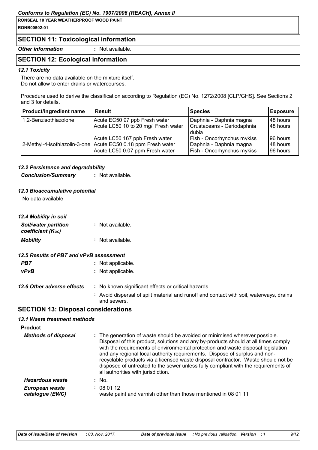#### Conforms to Regulation (EC) No. 1907/2006 (REACH), Annex II

RONSEAL 10 YEAR WEATHERPROOF WOOD PAINT RONB00502-01

## **SECTION 11: Toxicological information**

**Other information** 

: Not available.

# **SECTION 12: Ecological information**

#### 12.1 Toxicity

There are no data available on the mixture itself. Do not allow to enter drains or watercourses.

Procedure used to derive the classification according to Regulation (EC) No. 1272/2008 [CLP/GHS]. See Sections 2 and 3 for details.

| <b>Product/ingredient name</b> | <b>Result</b>                                                 | <b>Species</b>             | <b>Exposure</b> |
|--------------------------------|---------------------------------------------------------------|----------------------------|-----------------|
| 1,2-Benzisothiazolone          | Acute EC50 97 ppb Fresh water                                 | Daphnia - Daphnia magna    | 148 hours       |
|                                | Acute LC50 10 to 20 mg/l Fresh water                          | Crustaceans - Ceriodaphnia | 48 hours        |
|                                |                                                               | dubia                      |                 |
|                                | Acute LC50 167 ppb Fresh water                                | Fish - Oncorhynchus mykiss | 196 hours       |
|                                | 2-Methyl-4-isothiazolin-3-one Acute EC50 0.18 ppm Fresh water | Daphnia - Daphnia magna    | 48 hours        |
|                                | Acute LC50 0.07 ppm Fresh water                               | Fish - Oncorhynchus mykiss | 96 hours        |

#### 12.2 Persistence and degradability

: Not available. **Conclusion/Summary** 

#### 12.3 Bioaccumulative potential

No data available

| 12.4 Mobility in soil                            |                    |
|--------------------------------------------------|--------------------|
| <b>Soil/water partition</b><br>coefficient (Koc) | $:$ Not available. |
| <b>Mobility</b>                                  | : Not available.   |

## 12.5 Results of PBT and vPvB assessment

| PBT         | : Not applicable. |
|-------------|-------------------|
| <b>vPvB</b> | : Not applicable. |

| 12.6 Other adverse effects | : No known significant effects or critical hazards.     |
|----------------------------|---------------------------------------------------------|
|                            | . Avoid dienereal of epilt material and runoff and cont |

Avoid dispersal of spilt material and runoff and contact with soil, waterways, drains and sewers.

# **SECTION 13: Disposal considerations**

#### 13.1 Waste treatment methods

| <b>Product</b>                    |                                                                                                                                                                                                                                                                                                                                                                                                                                                                                                                                                      |  |
|-----------------------------------|------------------------------------------------------------------------------------------------------------------------------------------------------------------------------------------------------------------------------------------------------------------------------------------------------------------------------------------------------------------------------------------------------------------------------------------------------------------------------------------------------------------------------------------------------|--|
| <b>Methods of disposal</b>        | : The generation of waste should be avoided or minimised wherever possible.<br>Disposal of this product, solutions and any by-products should at all times comply<br>with the requirements of environmental protection and waste disposal legislation<br>and any regional local authority requirements. Dispose of surplus and non-<br>recyclable products via a licensed waste disposal contractor. Waste should not be<br>disposed of untreated to the sewer unless fully compliant with the requirements of<br>all authorities with jurisdiction. |  |
| Hazardous waste                   | : No.                                                                                                                                                                                                                                                                                                                                                                                                                                                                                                                                                |  |
| European waste<br>catalogue (EWC) | : 080112<br>waste paint and varnish other than those mentioned in 08 01 11                                                                                                                                                                                                                                                                                                                                                                                                                                                                           |  |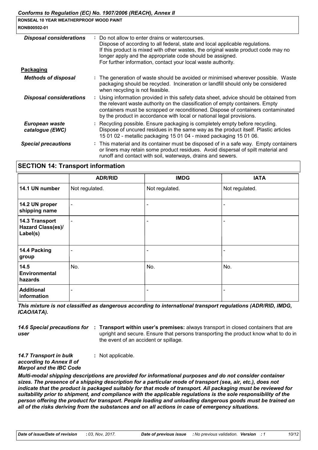| <u> Comonis to Regulation (LC) NO. 1901/2000 (REACH), Annex II</u> |                                                                                                                                                                                                                                                                                                                                                  |  |
|--------------------------------------------------------------------|--------------------------------------------------------------------------------------------------------------------------------------------------------------------------------------------------------------------------------------------------------------------------------------------------------------------------------------------------|--|
| RONSEAL 10 YEAR WEATHERPROOF WOOD PAINT                            |                                                                                                                                                                                                                                                                                                                                                  |  |
| <b>RONB00502-01</b>                                                |                                                                                                                                                                                                                                                                                                                                                  |  |
| <b>Disposal considerations</b>                                     | Do not allow to enter drains or watercourses.<br>Dispose of according to all federal, state and local applicable regulations.<br>If this product is mixed with other wastes, the original waste product code may no<br>longer apply and the appropriate code should be assigned.<br>For further information, contact your local waste authority. |  |
| <u>Packaging</u>                                                   |                                                                                                                                                                                                                                                                                                                                                  |  |
| <b>Methods of disposal</b>                                         | : The generation of waste should be avoided or minimised wherever possible. Waste<br>packaging should be recycled. Incineration or landfill should only be considered<br>when recycling is not feasible.                                                                                                                                         |  |
| <b>Disposal considerations</b>                                     | : Using information provided in this safety data sheet, advice should be obtained from<br>the relevant waste authority on the classification of empty containers. Empty<br>containers must be scrapped or reconditioned. Dispose of containers contaminated<br>by the product in accordance with local or national legal provisions.             |  |
| European waste<br>catalogue (EWC)                                  | Recycling possible. Ensure packaging is completely empty before recycling.<br>Dispose of uncured residues in the same way as the product itself. Plastic articles<br>15 01 02 - metallic packaging 15 01 04 - mixed packaging 15 01 06.                                                                                                          |  |
| <b>Special precautions</b>                                         | : This material and its container must be disposed of in a safe way. Empty containers<br>or liners may retain some product residues. Avoid dispersal of spilt material and<br>runoff and contact with soil, waterways, drains and sewers.                                                                                                        |  |
|                                                                    |                                                                                                                                                                                                                                                                                                                                                  |  |

#### **SECTION 14: Transport information**

|                                                 | <b>ADR/RID</b>           | <b>IMDG</b>              | <b>IATA</b>    |
|-------------------------------------------------|--------------------------|--------------------------|----------------|
| 14.1 UN number                                  | Not regulated.           | Not regulated.           | Not regulated. |
| 14.2 UN proper<br>shipping name                 | $\overline{\phantom{a}}$ | $\overline{\phantom{a}}$ |                |
| 14.3 Transport<br>Hazard Class(es)/<br>Label(s) | $\overline{\phantom{0}}$ | $\overline{\phantom{a}}$ |                |
| 14.4 Packing<br>group                           |                          | $\overline{\phantom{a}}$ | ۰              |
| 14.5<br><b>Environmental</b><br>hazards         | No.                      | No.                      | No.            |
| <b>Additional</b><br>information                |                          | $\overline{\phantom{a}}$ |                |

This mixture is not classified as dangerous according to international transport regulations (ADR/RID, IMDG, ICAO/IATA).

14.6 Special precautions for : Transport within user's premises: always transport in closed containers that are user upright and secure. Ensure that persons transporting the product know what to do in the event of an accident or spillage.

14.7 Transport in bulk : Not applicable. according to Annex II of **Marpol and the IBC Code** 

Multi-modal shipping descriptions are provided for informational purposes and do not consider container sizes. The presence of a shipping description for a particular mode of transport (sea, air, etc.), does not indicate that the product is packaged suitably for that mode of transport. All packaging must be reviewed for suitability prior to shipment, and compliance with the applicable regulations is the sole responsibility of the person offering the product for transport. People loading and unloading dangerous goods must be trained on all of the risks deriving from the substances and on all actions in case of emergency situations.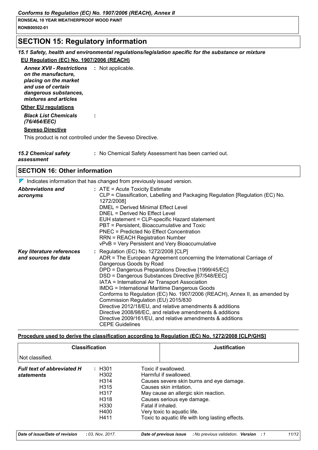# **SECTION 15: Regulatory information**

# 15.1 Safety, health and environmental regulations/legislation specific for the substance or mixture EU Regulation (EC) No. 1907/2006 (REACH)

**Annex XVII - Restrictions : Not applicable.** on the manufacture. placing on the market and use of certain dangerous substances, mixtures and articles

#### **Other EU requlations**

**Black List Chemicals** (76/464/EEC)

#### **Seveso Directive**

This product is not controlled under the Seveso Directive.

÷

| <b>15.2 Chemical safety</b> | : No Chemical Safety Assessment has been carried out. |
|-----------------------------|-------------------------------------------------------|
| $$                          |                                                       |

assessment

## **SECTION 16: Other information**

 $\nabla$  Indicates information that has changed from previously issued version.

| <b>Abbreviations and</b><br>acronyms              | $:$ ATE = Acute Toxicity Estimate<br>CLP = Classification, Labelling and Packaging Regulation [Regulation (EC) No.<br>1272/2008]<br>DMEL = Derived Minimal Effect Level<br>DNEL = Derived No Effect Level<br>EUH statement = CLP-specific Hazard statement<br>PBT = Persistent, Bioaccumulative and Toxic<br>PNEC = Predicted No Effect Concentration<br><b>RRN = REACH Registration Number</b><br>vPvB = Very Persistent and Very Bioaccumulative                                                                                                                                                                                                                                                     |
|---------------------------------------------------|--------------------------------------------------------------------------------------------------------------------------------------------------------------------------------------------------------------------------------------------------------------------------------------------------------------------------------------------------------------------------------------------------------------------------------------------------------------------------------------------------------------------------------------------------------------------------------------------------------------------------------------------------------------------------------------------------------|
| Key literature references<br>and sources for data | : Regulation (EC) No. 1272/2008 [CLP]<br>ADR = The European Agreement concerning the International Carriage of<br>Dangerous Goods by Road<br>DPD = Dangerous Preparations Directive [1999/45/EC]<br>DSD = Dangerous Substances Directive [67/548/EEC]<br>IATA = International Air Transport Association<br><b>IMDG = International Maritime Dangerous Goods</b><br>Conforms to Regulation (EC) No. 1907/2006 (REACH), Annex II, as amended by<br>Commission Regulation (EU) 2015/830<br>Directive 2012/18/EU, and relative amendments & additions<br>Directive 2008/98/EC, and relative amendments & additions<br>Directive 2009/161/EU, and relative amendments & additions<br><b>CEPE Guidelines</b> |

#### Procedure used to derive the classification according to Regulation (EC) No. 1272/2008 [CLP/GHS]

| <b>Classification</b>                                  |                                                                                                                                      | <b>Justification</b>                                                                                                                                                                                                                                                                              |
|--------------------------------------------------------|--------------------------------------------------------------------------------------------------------------------------------------|---------------------------------------------------------------------------------------------------------------------------------------------------------------------------------------------------------------------------------------------------------------------------------------------------|
| Not classified.                                        |                                                                                                                                      |                                                                                                                                                                                                                                                                                                   |
| <b>Full text of abbreviated H</b><br><b>statements</b> | : H301<br>H <sub>302</sub><br>H <sub>3</sub> 14<br>H <sub>315</sub><br>H317<br>H <sub>3</sub> 18<br>H <sub>330</sub><br>H400<br>H411 | Toxic if swallowed.<br>Harmful if swallowed.<br>Causes severe skin burns and eye damage.<br>Causes skin irritation.<br>May cause an allergic skin reaction.<br>Causes serious eye damage.<br>Fatal if inhaled.<br>Very toxic to aquatic life.<br>Toxic to aquatic life with long lasting effects. |